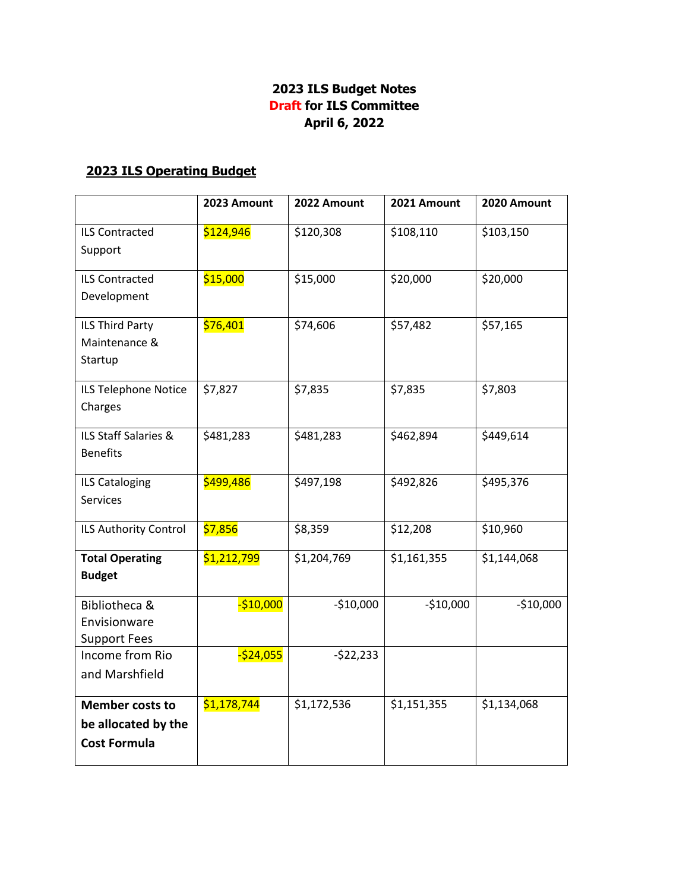## **2023 ILS Budget Notes Draft for ILS Committee April 6, 2022**

## **2023 ILS Operating Budget**

|                                        | 2023 Amount  | 2022 Amount | 2021 Amount | 2020 Amount |
|----------------------------------------|--------------|-------------|-------------|-------------|
| <b>ILS Contracted</b>                  | \$124,946    | \$120,308   | \$108,110   | \$103,150   |
| Support                                |              |             |             |             |
| <b>ILS Contracted</b>                  | \$15,000     | \$15,000    | \$20,000    | \$20,000    |
| Development                            |              |             |             |             |
| ILS Third Party                        | \$76,401     | \$74,606    | \$57,482    | \$57,165    |
| Maintenance &                          |              |             |             |             |
| Startup                                |              |             |             |             |
| ILS Telephone Notice                   | \$7,827      | \$7,835     | \$7,835     | \$7,803     |
| Charges                                |              |             |             |             |
| ILS Staff Salaries &                   | \$481,283    | \$481,283   | \$462,894   | \$449,614   |
| <b>Benefits</b>                        |              |             |             |             |
| <b>ILS Cataloging</b>                  | \$499,486    | \$497,198   | \$492,826   | \$495,376   |
| <b>Services</b>                        |              |             |             |             |
| ILS Authority Control                  | \$7,856      | \$8,359     | \$12,208    | \$10,960    |
| <b>Total Operating</b>                 | \$1,212,799  | \$1,204,769 | \$1,161,355 | \$1,144,068 |
| <b>Budget</b>                          |              |             |             |             |
| Bibliotheca &                          | $-$10,000$   | $-$10,000$  | $-$10,000$  | $-$10,000$  |
| Envisionware                           |              |             |             |             |
| <b>Support Fees</b><br>Income from Rio | $-$ \$24,055 | $-522,233$  |             |             |
| and Marshfield                         |              |             |             |             |
|                                        |              |             |             |             |
| <b>Member costs to</b>                 | \$1,178,744  | \$1,172,536 | \$1,151,355 | \$1,134,068 |
| be allocated by the                    |              |             |             |             |
| <b>Cost Formula</b>                    |              |             |             |             |